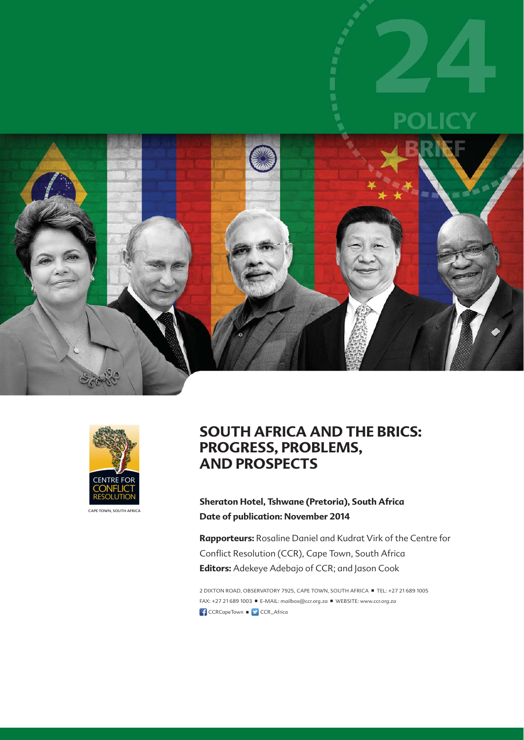



CAPE TOWN, SOUTH AFRICA

### **SOUTH AFRICA AND THE BRICS: PROGRESS, PROBLEMS, AND PROSPECTS**

**Sheraton Hotel, Tshwane (Pretoria), South Africa Date of publication: November 2014**

**Rapporteurs:** Rosaline Daniel and Kudrat Virk of the Centre for Conflict Resolution (CCR), Cape Town, South Africa **Editors:** Adekeye Adebajo of CCR; and Jason Cook

2 DIXTON ROAD, OBSERVATORY 7925, CAPE TOWN, SOUTH AFRICA ■ TEL: +27 21 689 1005 FAX: +27 21 689 1003 ■ E-MAIL: mailbox@ccr.org.za ■ WEBSITE: www.ccr.org.za CCRCapeTown  $\blacksquare$  CCR\_Africa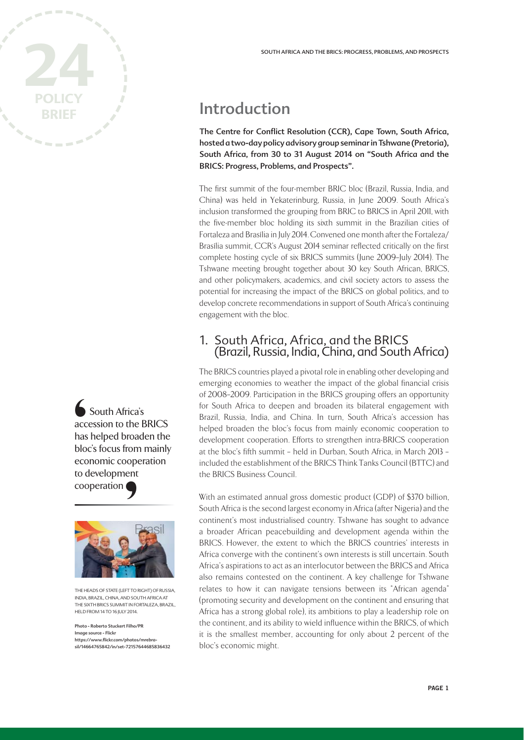

South Africa's accession to the BRICS has helped broaden the bloc's focus from mainly economic cooperation to development cooperation Contract contract contract contract contract contract contract contract contract contract contract contract contract contract contract contract contract contract contract contract contract contract contract contract contra



THE HEADS OF STATE (LEFT TO RIGHT) OF RUSSIA INDIA, BRAZIL, CHINA, AND SOUTH AFRICA AT THE SIXTH BRICS SUMMIT IN FORTALEZA, BRAZIL, HELD FROM 14 TO 16 JULY 2014.

Photo - Roberto Stuckert Filho/PR Image source - Flickr https://www.flickr.com/photos/mrebrasil/14664765842/in/set-72157644685836432

## Introduction

The Centre for Conflict Resolution (CCR), Cape Town, South Africa, hosted a two-day policy advisory group seminar in Tshwane (Pretoria), South Africa, from 30 to 31 August 2014 on "South Africa and the BRICS: Progress, Problems, and Prospects".

The first summit of the four-member BRIC bloc (Brazil, Russia, India, and China) was held in Yekaterinburg, Russia, in June 2009. South Africa's inclusion transformed the grouping from BRIC to BRICS in April 2011, with the five-member bloc holding its sixth summit in the Brazilian cities of Fortaleza and Brasília in July 2014. Convened one month after the Fortaleza/ Brasília summit, CCR's August 2014 seminar reflected critically on the first complete hosting cycle of six BRICS summits (June 2009–July 2014). The Tshwane meeting brought together about 30 key South African, BRICS, and other policymakers, academics, and civil society actors to assess the potential for increasing the impact of the BRICS on global politics, and to develop concrete recommendations in support of South Africa's continuing engagement with the bloc.

#### 1. South Africa, Africa, and the BRICS (Brazil, Russia, India, China, and South Africa)

The BRICS countries played a pivotal role in enabling other developing and emerging economies to weather the impact of the global financial crisis of 2008–2009. Participation in the BRICS grouping offers an opportunity for South Africa to deepen and broaden its bilateral engagement with Brazil, Russia, India, and China. In turn, South Africa's accession has helped broaden the bloc's focus from mainly economic cooperation to development cooperation. Efforts to strengthen intra-BRICS cooperation at the bloc's fifth summit – held in Durban, South Africa, in March 2013 – included the establishment of the BRICS Think Tanks Council (BTTC) and the BRICS Business Council.

With an estimated annual gross domestic product (GDP) of \$370 billion, South Africa is the second largest economy in Africa (after Nigeria) and the continent's most industrialised country. Tshwane has sought to advance a broader African peacebuilding and development agenda within the BRICS. However, the extent to which the BRICS countries' interests in Africa converge with the continent's own interests is still uncertain. South Africa's aspirations to act as an interlocutor between the BRICS and Africa also remains contested on the continent. A key challenge for Tshwane relates to how it can navigate tensions between its "African agenda" (promoting security and development on the continent and ensuring that Africa has a strong global role), its ambitions to play a leadership role on the continent, and its ability to wield influence within the BRICS, of which it is the smallest member, accounting for only about 2 percent of the bloc's economic might.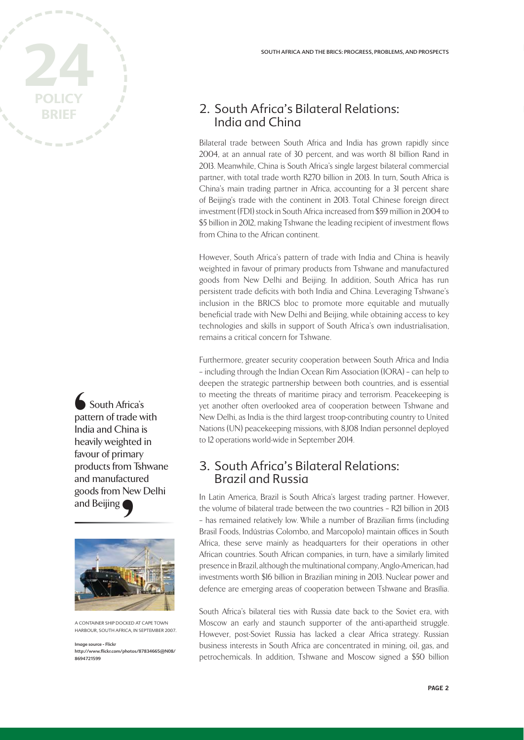

South Africa's pattern of trade with India and China is heavily weighted in favour of primary products from Tshwane and manufactured goods from New Delhi and Beijing '



A CONTAINER SHIP DOCKED AT CAPE TOWN HARBOUR, SOUTH AFRICA, IN SEPTEMBER 2007.

Image source - Flickr http://www.fl ickr.com/photos/87834665@N08/ 8694721599

### 2. South Africa's Bilateral Relations: India and China

Bilateral trade between South Africa and India has grown rapidly since 2004, at an annual rate of 30 percent, and was worth 81 billion Rand in 2013. Meanwhile, China is South Africa's single largest bilateral commercial partner, with total trade worth R270 billion in 2013. In turn, South Africa is China's main trading partner in Africa, accounting for a 31 percent share of Beijing's trade with the continent in 2013. Total Chinese foreign direct investment (FDI) stock in South Africa increased from \$59 million in 2004 to \$5 billion in 2012, making Tshwane the leading recipient of investment flows from China to the African continent.

However, South Africa's pattern of trade with India and China is heavily weighted in favour of primary products from Tshwane and manufactured goods from New Delhi and Beijing. In addition, South Africa has run persistent trade deficits with both India and China. Leveraging Tshwane's inclusion in the BRICS bloc to promote more equitable and mutually beneficial trade with New Delhi and Beijing, while obtaining access to key technologies and skills in support of South Africa's own industrialisation, remains a critical concern for Tshwane.

Furthermore, greater security cooperation between South Africa and India – including through the Indian Ocean Rim Association (IORA) – can help to deepen the strategic partnership between both countries, and is essential to meeting the threats of maritime piracy and terrorism. Peacekeeping is yet another often overlooked area of cooperation between Tshwane and New Delhi, as India is the third largest troop-contributing country to United Nations (UN) peacekeeping missions, with 8,108 Indian personnel deployed to 12 operations world-wide in September 2014.

#### 3. South Africa's Bilateral Relations: Brazil and Russia

 In Latin America, Brazil is South Africa's largest trading partner. However, the volume of bilateral trade between the two countries – R21 billion in 2013 – has remained relatively low. While a number of Brazilian firms (including Brasil Foods, Indústrias Colombo, and Marcopolo) maintain offices in South Africa, these serve mainly as headquarters for their operations in other African countries. South African companies, in turn, have a similarly limited presence in Brazil, although the multinational company, Anglo-American, had investments worth \$16 billion in Brazilian mining in 2013. Nuclear power and defence are emerging areas of cooperation between Tshwane and Brasília.

South Africa's bilateral ties with Russia date back to the Soviet era, with Moscow an early and staunch supporter of the anti-apartheid struggle. However, post-Soviet Russia has lacked a clear Africa strategy. Russian business interests in South Africa are concentrated in mining, oil, gas, and petrochemicals. In addition, Tshwane and Moscow signed a \$50 billion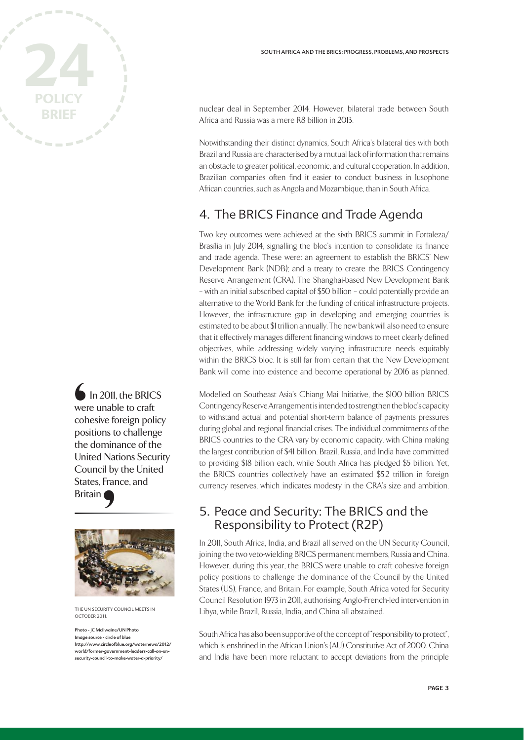

In 2011, the BRICS were unable to craft cohesive foreign policy positions to challenge the dominance of the United Nations Security Council by the United States, France, and **Britain** Some coherence control and the Unit Correct Control and Correct Correct Control and Correct Correct Control and Correct Correct Correct Control and Correct Correct Correct Correct Correct Correct Correct Correct Correct Co



THE UN SECURITY COUNCIL MEETS IN OCTOBER 2011.

Photo - JC McIlwaine/UN Photo Image source - circle of blue http://www.circleofblue.org/waternews/2012/ world/former-government-leaders-call-on-unsecurity-council-to-make-water-a-priority/

nuclear deal in September 2014. However, bilateral trade between South Africa and Russia was a mere R8 billion in 2013.

Notwithstanding their distinct dynamics, South Africa's bilateral ties with both Brazil and Russia are characterised by a mutual lack of information that remains an obstacle to greater political, economic, and cultural cooperation. In addition, Brazilian companies often find it easier to conduct business in lusophone African countries, such as Angola and Mozambique, than in South Africa.

#### 4. The BRICS Finance and Trade Agenda

Two key outcomes were achieved at the sixth BRICS summit in Fortaleza/ Brasília in July 2014, signalling the bloc's intention to consolidate its finance and trade agenda. These were: an agreement to establish the BRICS' New Development Bank (NDB); and a treaty to create the BRICS Contingency Reserve Arrangement (CRA). The Shanghai-based New Development Bank – with an initial subscribed capital of \$50 billion – could potentially provide an alternative to the World Bank for the funding of critical infrastructure projects. However, the infrastructure gap in developing and emerging countries is estimated to be about \$1 trillion annually. The new bank will also need to ensure that it effectively manages different financing windows to meet clearly defined objectives, while addressing widely varying infrastructure needs equitably within the BRICS bloc. It is still far from certain that the New Development Bank will come into existence and become operational by 2016 as planned.

Modelled on Southeast Asia's Chiang Mai Initiative, the \$100 billion BRICS Contingency Reserve Arrangement is intended to strengthen the bloc's capacity to withstand actual and potential short-term balance of payments pressures during global and regional financial crises. The individual commitments of the BRICS countries to the CRA vary by economic capacity, with China making the largest contribution of \$41 billion. Brazil, Russia, and India have committed to providing \$18 billion each, while South Africa has pledged \$5 billion. Yet, the BRICS countries collectively have an estimated \$5.2 trillion in foreign currency reserves, which indicates modesty in the CRA's size and ambition.

#### 5. Peace and Security: The BRICS and the Responsibility to Protect (R2P)

In 2011, South Africa, India, and Brazil all served on the UN Security Council, joining the two veto-wielding BRICS permanent members, Russia and China. However, during this year, the BRICS were unable to craft cohesive foreign policy positions to challenge the dominance of the Council by the United States (US), France, and Britain. For example, South Africa voted for Security Council Resolution 1973 in 2011, authorising Anglo-French-led intervention in Libya, while Brazil, Russia, India, and China all abstained.

South Africa has also been supportive of the concept of "responsibility to protect", which is enshrined in the African Union's (AU) Constitutive Act of 2000. China and India have been more reluctant to accept deviations from the principle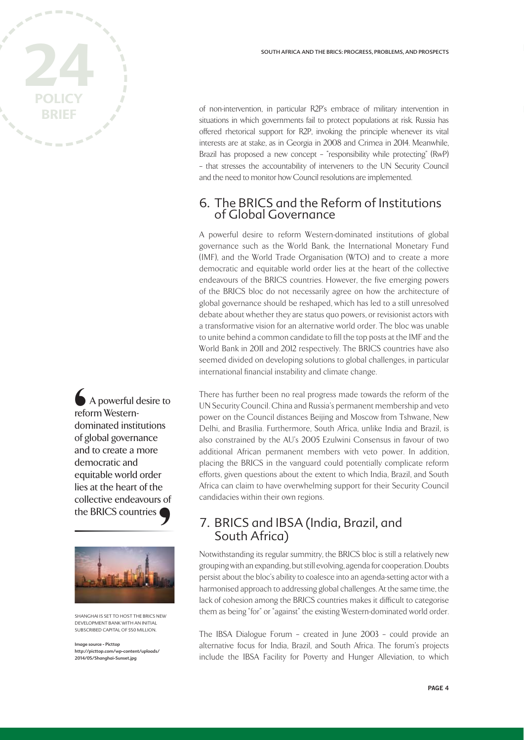A powerful desire to reform Westerndominated institutions of global governance and to create a more democratic and equitable world order lies at the heart of the collective endeavours of the BRICS countries Corefc dor of g<br>
and der equ



SHANGHAI IS SET TO HOST THE BRICS NEW DEVELOPMENT BANK WITH AN INITIAL SUBSCRIBED CAPITAL OF \$50 MILLION.

Image source - Picttop http://picttop.com/wp-content/uploads/ 2014/05/Shanghai-Sunset.jpg

of non-intervention, in particular R2P's embrace of military intervention in situations in which governments fail to protect populations at risk. Russia has offered rhetorical support for R2P, invoking the principle whenever its vital interests are at stake, as in Georgia in 2008 and Crimea in 2014. Meanwhile, Brazil has proposed a new concept – "responsibility while protecting" (RwP) – that stresses the accountability of interveners to the UN Security Council and the need to monitor how Council resolutions are implemented.

#### 6. The BRICS and the Reform of Institutions of Global Governance

A powerful desire to reform Western-dominated institutions of global governance such as the World Bank, the International Monetary Fund (IMF), and the World Trade Organisation (WTO) and to create a more democratic and equitable world order lies at the heart of the collective endeavours of the BRICS countries. However, the five emerging powers of the BRICS bloc do not necessarily agree on how the architecture of global governance should be reshaped, which has led to a still unresolved debate about whether they are status quo powers, or revisionist actors with a transformative vision for an alternative world order. The bloc was unable to unite behind a common candidate to fill the top posts at the IMF and the World Bank in 2011 and 2012 respectively. The BRICS countries have also seemed divided on developing solutions to global challenges, in particular international financial instability and climate change.

There has further been no real progress made towards the reform of the UN Security Council. China and Russia's permanent membership and veto power on the Council distances Beijing and Moscow from Tshwane, New Delhi, and Brasília. Furthermore, South Africa, unlike India and Brazil, is also constrained by the AU's 2005 Ezulwini Consensus in favour of two additional African permanent members with veto power. In addition, placing the BRICS in the vanguard could potentially complicate reform efforts, given questions about the extent to which India, Brazil, and South Africa can claim to have overwhelming support for their Security Council candidacies within their own regions.

#### 7. BRICS and IBSA (India, Brazil, and South Africa)

Notwithstanding its regular summitry, the BRICS bloc is still a relatively new grouping with an expanding, but still evolving, agenda for cooperation. Doubts persist about the bloc's ability to coalesce into an agenda-setting actor with a harmonised approach to addressing global challenges. At the same time, the lack of cohesion among the BRICS countries makes it difficult to categorise them as being "for" or "against" the existing Western-dominated world order.

The IBSA Dialogue Forum – created in June 2003 – could provide an alternative focus for India, Brazil, and South Africa. The forum's projects include the IBSA Facility for Poverty and Hunger Alleviation, to which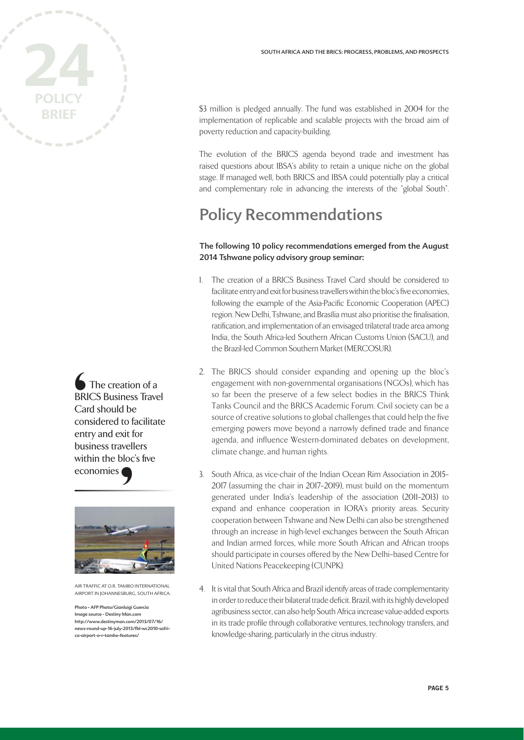

The creation of a BRICS Business Travel Card should be considered to facilitate entry and exit for business travellers within the bloc's five economies **6**<br>BRI Carcon<br>
ent<br>
bus<br>
with



AIR TRAFFIC AT O.R. TAMBO INTERNATIONAL AIRPORT IN JOHANNESBURG, SOUTH AFRICA.

Photo - AFP Photo/Gianluigi Guercia Image source - Destiny Man.com http://www.destinyman.com/2013/07/16/ news-round-up-16-july-2013/fbl-wc2010-safrica-airport-o-r-tambo-features/

\$3 million is pledged annually. The fund was established in 2004 for the implementation of replicable and scalable projects with the broad aim of poverty reduction and capacity-building.

The evolution of the BRICS agenda beyond trade and investment has raised questions about IBSA's ability to retain a unique niche on the global stage. If managed well, both BRICS and IBSA could potentially play a critical and complementary role in advancing the interests of the "global South".

# Policy Recommendations

#### The following 10 policy recommendations emerged from the August 2014 Tshwane policy advisory group seminar:

- 1. The creation of a BRICS Business Travel Card should be considered to facilitate entry and exit for business travellers within the bloc's five economies, following the example of the Asia-Pacific Economic Cooperation (APEC) region. New Delhi, Tshwane, and Brasília must also prioritise the finalisation, ratification, and implementation of an envisaged trilateral trade area among India, the South Africa-led Southern African Customs Union (SACU), and the Brazil-led Common Southern Market (MERCOSUR).
- 2. The BRICS should consider expanding and opening up the bloc's engagement with non-governmental organisations (NGOs), which has so far been the preserve of a few select bodies in the BRICS Think Tanks Council and the BRICS Academic Forum. Civil society can be a source of creative solutions to global challenges that could help the five emerging powers move beyond a narrowly defined trade and finance agenda, and influence Western-dominated debates on development, climate change, and human rights.
- 3. South Africa, as vice-chair of the Indian Ocean Rim Association in 2015– 2017 (assuming the chair in 2017–2019), must build on the momentum generated under India's leadership of the association (2011–2013) to expand and enhance cooperation in IORA's priority areas. Security cooperation between Tshwane and New Delhi can also be strengthened through an increase in high-level exchanges between the South African and Indian armed forces, while more South African and African troops should participate in courses offered by the New Delhi–based Centre for United Nations Peacekeeping (CUNPK).
- 4. It is vital that South Africa and Brazil identify areas of trade complementarity in order to reduce their bilateral trade deficit. Brazil, with its highly developed agribusiness sector, can also help South Africa increase value-added exports in its trade profile through collaborative ventures, technology transfers, and knowledge-sharing, particularly in the citrus industry.